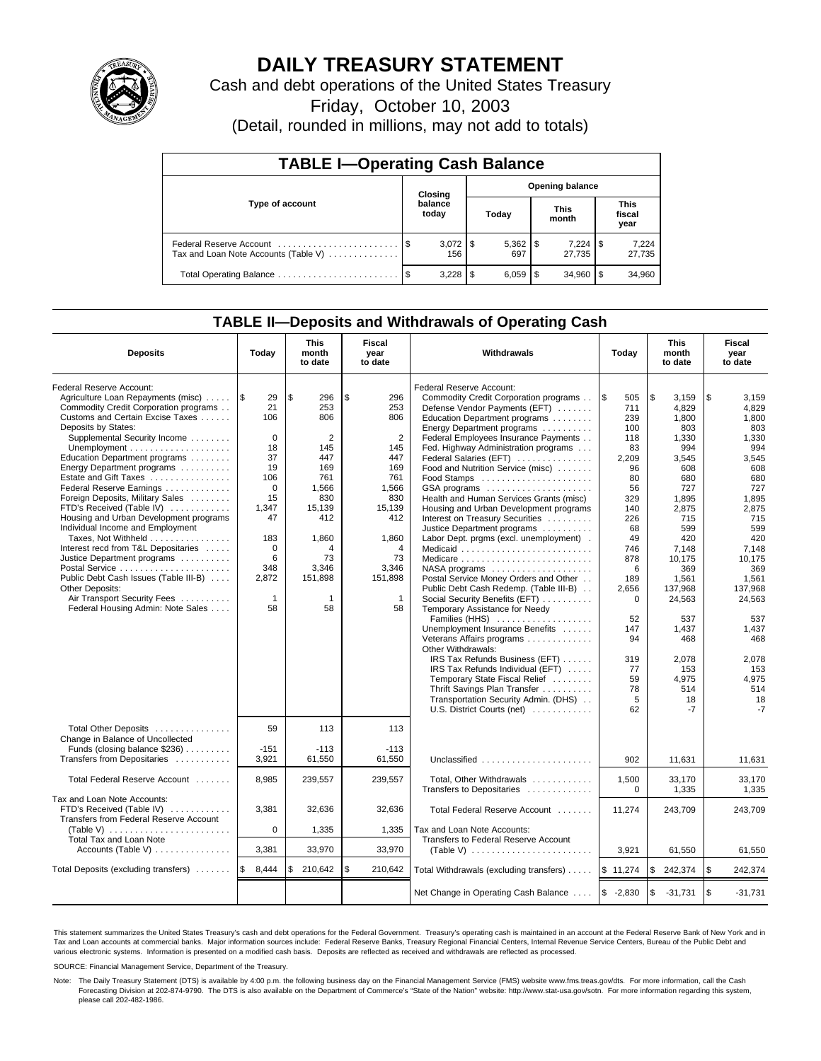

# **DAILY TREASURY STATEMENT**

Cash and debt operations of the United States Treasury

Friday, October 10, 2003

(Detail, rounded in millions, may not add to totals)

| <b>TABLE I-Operating Cash Balance</b>                           |         |                     |       |                        |                      |                     |                        |                 |  |  |
|-----------------------------------------------------------------|---------|---------------------|-------|------------------------|----------------------|---------------------|------------------------|-----------------|--|--|
|                                                                 | Closing |                     |       | <b>Opening balance</b> |                      |                     |                        |                 |  |  |
| Type of account                                                 |         | balance<br>today    | Today |                        | <b>This</b><br>month |                     | This<br>fiscal<br>year |                 |  |  |
| Federal Reserve Account<br>Tax and Loan Note Accounts (Table V) |         | $3,072$   \$<br>156 |       | $5,362$   \$<br>697    |                      | $7.224$ S<br>27.735 |                        | 7,224<br>27,735 |  |  |
|                                                                 |         | 3,228               | \$.   | $6,059$ \ \ \$         |                      | 34.960              | l \$                   | 34,960          |  |  |

## **TABLE II—Deposits and Withdrawals of Operating Cash**

| <b>Deposits</b>                                              | Today        | <b>This</b><br>month<br>to date | Fiscal<br>year<br>to date | Withdrawals                                                       | Today       | <b>This</b><br>month<br>to date | Fiscal<br>year<br>to date |
|--------------------------------------------------------------|--------------|---------------------------------|---------------------------|-------------------------------------------------------------------|-------------|---------------------------------|---------------------------|
| Federal Reserve Account:                                     |              |                                 |                           | Federal Reserve Account:                                          |             |                                 |                           |
| Agriculture Loan Repayments (misc)    \$                     | 29           | \$<br>296                       | \$<br>296                 | Commodity Credit Corporation programs                             | l \$<br>505 | \$<br>3,159                     | \$<br>3,159               |
| Commodity Credit Corporation programs                        | 21           | 253                             | 253                       | Defense Vendor Payments (EFT)                                     | 711         | 4,829                           | 4,829                     |
| Customs and Certain Excise Taxes                             | 106          | 806                             | 806                       | Education Department programs                                     | 239         | 1.800                           | 1.800                     |
| Deposits by States:                                          |              |                                 |                           | Energy Department programs                                        | 100         | 803                             | 803                       |
| Supplemental Security Income                                 | $\Omega$     | 2                               | $\overline{2}$            | Federal Employees Insurance Payments                              | 118         | 1.330                           | 1.330                     |
|                                                              | 18<br>37     | 145                             | 145                       | Fed. Highway Administration programs                              | 83          | 994                             | 994                       |
| Education Department programs                                | 19           | 447<br>169                      | 447<br>169                | Federal Salaries (EFT)                                            | 2,209       | 3,545                           | 3,545                     |
| Energy Department programs<br>Estate and Gift Taxes          | 106          | 761                             | 761                       | Food and Nutrition Service (misc)                                 | 96<br>80    | 608<br>680                      | 608<br>680                |
| Federal Reserve Earnings                                     | $\mathbf 0$  | 1,566                           | 1,566                     | GSA programs                                                      | 56          | 727                             | 727                       |
| Foreign Deposits, Military Sales                             | 15           | 830                             | 830                       | Health and Human Services Grants (misc)                           | 329         | 1.895                           | 1.895                     |
| FTD's Received (Table IV)                                    | 1.347        | 15,139                          | 15,139                    | Housing and Urban Development programs                            | 140         | 2.875                           | 2.875                     |
| Housing and Urban Development programs                       | 47           | 412                             | 412                       | Interest on Treasury Securities                                   | 226         | 715                             | 715                       |
| Individual Income and Employment                             |              |                                 |                           | Justice Department programs                                       | 68          | 599                             | 599                       |
| Taxes, Not Withheld                                          | 183          | 1,860                           | 1,860                     | Labor Dept. prgms (excl. unemployment).                           | 49          | 420                             | 420                       |
| Interest recd from T&L Depositaries                          | $\mathbf 0$  | 4                               | 4                         | Medicaid                                                          | 746         | 7,148                           | 7.148                     |
| Justice Department programs                                  | 6            | 73                              | 73                        | Medicare                                                          | 878         | 10,175                          | 10,175                    |
| Postal Service                                               | 348          | 3,346                           | 3,346                     | NASA programs                                                     | 6           | 369                             | 369                       |
| Public Debt Cash Issues (Table III-B)                        | 2,872        | 151,898                         | 151,898                   | Postal Service Money Orders and Other                             | 189         | 1.561                           | 1.561                     |
| Other Deposits:                                              |              |                                 |                           | Public Debt Cash Redemp. (Table III-B)                            | 2,656       | 137.968                         | 137.968                   |
| Air Transport Security Fees                                  | $\mathbf{1}$ | 1                               | $\mathbf{1}$              | Social Security Benefits (EFT)                                    | $\Omega$    | 24,563                          | 24,563                    |
| Federal Housing Admin: Note Sales                            | 58           | 58                              | 58                        | Temporary Assistance for Needy                                    |             |                                 |                           |
|                                                              |              |                                 |                           | Families (HHS)                                                    | 52          | 537                             | 537                       |
|                                                              |              |                                 |                           | Unemployment Insurance Benefits                                   | 147         | 1,437                           | 1,437                     |
|                                                              |              |                                 |                           | Veterans Affairs programs                                         | 94          | 468                             | 468                       |
|                                                              |              |                                 |                           | Other Withdrawals:                                                |             |                                 |                           |
|                                                              |              |                                 |                           | IRS Tax Refunds Business (EFT)                                    | 319         | 2.078                           | 2.078                     |
|                                                              |              |                                 |                           | IRS Tax Refunds Individual (EFT)<br>Temporary State Fiscal Relief | 77<br>59    | 153<br>4.975                    | 153<br>4.975              |
|                                                              |              |                                 |                           | Thrift Savings Plan Transfer                                      | 78          | 514                             | 514                       |
|                                                              |              |                                 |                           | Transportation Security Admin. (DHS)                              | 5           | 18                              | 18                        |
|                                                              |              |                                 |                           | U.S. District Courts (net)                                        | 62          | $-7$                            | $-7$                      |
|                                                              |              |                                 |                           |                                                                   |             |                                 |                           |
| Total Other Deposits<br>Change in Balance of Uncollected     | 59           | 113                             | 113                       |                                                                   |             |                                 |                           |
| Funds (closing balance \$236)                                | $-151$       | $-113$                          | $-113$                    |                                                                   |             |                                 |                           |
| Transfers from Depositaries                                  | 3,921        | 61,550                          | 61,550                    | Unclassified                                                      | 902         | 11,631                          | 11,631                    |
|                                                              |              |                                 |                           |                                                                   |             |                                 |                           |
| Total Federal Reserve Account                                | 8,985        | 239,557                         | 239,557                   | Total, Other Withdrawals                                          | 1,500       | 33,170                          | 33,170                    |
|                                                              |              |                                 |                           | Transfers to Depositaries                                         | 0           | 1,335                           | 1,335                     |
| Tax and Loan Note Accounts:<br>FTD's Received (Table IV)     |              | 32,636                          | 32,636                    |                                                                   |             |                                 |                           |
| Transfers from Federal Reserve Account                       | 3,381        |                                 |                           | Total Federal Reserve Account                                     | 11,274      | 243,709                         | 243,709                   |
| (Table V) $\ldots \ldots \ldots \ldots \ldots \ldots \ldots$ | $\mathbf 0$  | 1,335                           | 1,335                     | Tax and Loan Note Accounts:                                       |             |                                 |                           |
| <b>Total Tax and Loan Note</b>                               |              |                                 |                           | Transfers to Federal Reserve Account                              |             |                                 |                           |
| Accounts (Table V)                                           | 3,381        | 33,970                          | 33,970                    |                                                                   | 3,921       | 61,550                          | 61,550                    |
| Total Deposits (excluding transfers)                         | l\$<br>8,444 | \$<br>210,642                   | \$<br>210,642             | Total Withdrawals (excluding transfers)                           | \$11,274    | 242,374<br>l \$                 | \$<br>242,374             |
|                                                              |              |                                 |                           |                                                                   |             |                                 |                           |
|                                                              |              |                                 |                           | Net Change in Operating Cash Balance                              | $$ -2,830$  | $\mathfrak s$<br>$-31,731$      | \$<br>$-31.731$           |

This statement summarizes the United States Treasury's cash and debt operations for the Federal Government. Treasury's operating cash is maintained in an account at the Federal Reserve Bank of New York and in Tax and Loan accounts at commercial banks. Major information sources include: Federal Reserve Banks, Treasury Regional Financial Centers, Internal Revenue Service Centers, Bureau of the Public Debt and<br>various electronic s

SOURCE: Financial Management Service, Department of the Treasury.

Note: The Daily Treasury Statement (DTS) is available by 4:00 p.m. the following business day on the Financial Management Service (FMS) website www.fms.treas.gov/dts. For more information, call the Cash Forecasting Division at 202-874-9790. The DTS is also available on the Department of Commerce's "State of the Nation" website: http://www.stat-usa.gov/sotn. For more information regarding this system, please call 202-482-1986.